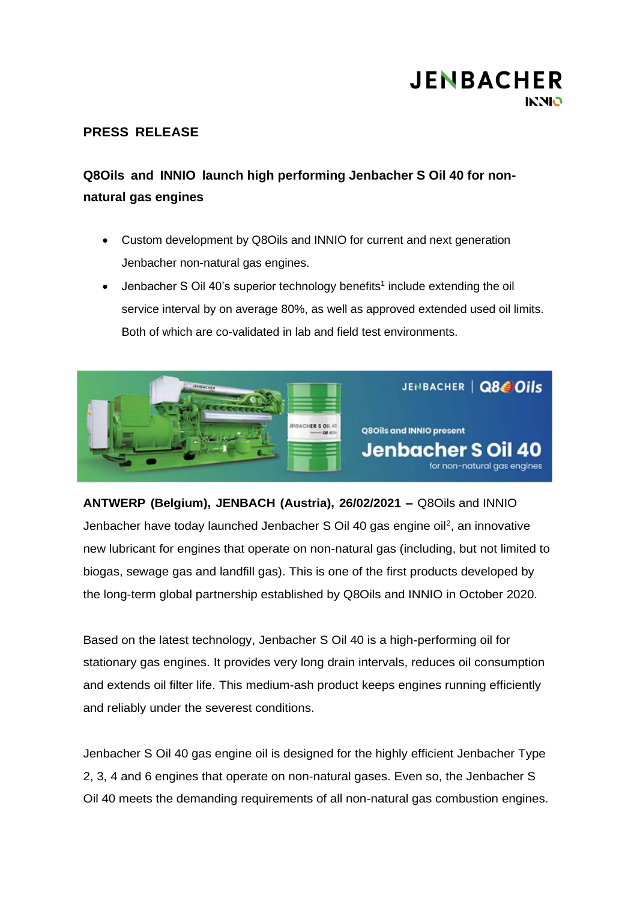### **PRESS RELEASE**

### **Q8Oils and INNIO launch high performing Jenbacher S Oil 40 for nonnatural gas engines**

- Custom development by Q8Oils and INNIO for current and next generation Jenbacher non-natural gas engines.
- Jenbacher S Oil 40's superior technology benefits<sup>1</sup> include extending the oil service interval by on average 80%, as well as approved extended used oil limits. Both of which are co-validated in lab and field test environments.



**ANTWERP (Belgium), JENBACH (Austria), 26/02/2021 –** Q8Oils and INNIO Jenbacher have today launched Jenbacher S Oil 40 gas engine oil<sup>2</sup>, an innovative new lubricant for engines that operate on non-natural gas (including, but not limited to biogas, sewage gas and landfill gas). This is one of the first products developed by the long-term global partnership established by Q8Oils and INNIO in October 2020.

Based on the latest technology, Jenbacher S Oil 40 is a high-performing oil for stationary gas engines. It provides very long drain intervals, reduces oil consumption and extends oil filter life. This medium-ash product keeps engines running efficiently and reliably under the severest conditions.

Jenbacher S Oil 40 gas engine oil is designed for the highly efficient Jenbacher Type 2, 3, 4 and 6 engines that operate on non-natural gases. Even so, the Jenbacher S Oil 40 meets the demanding requirements of all non-natural gas combustion engines.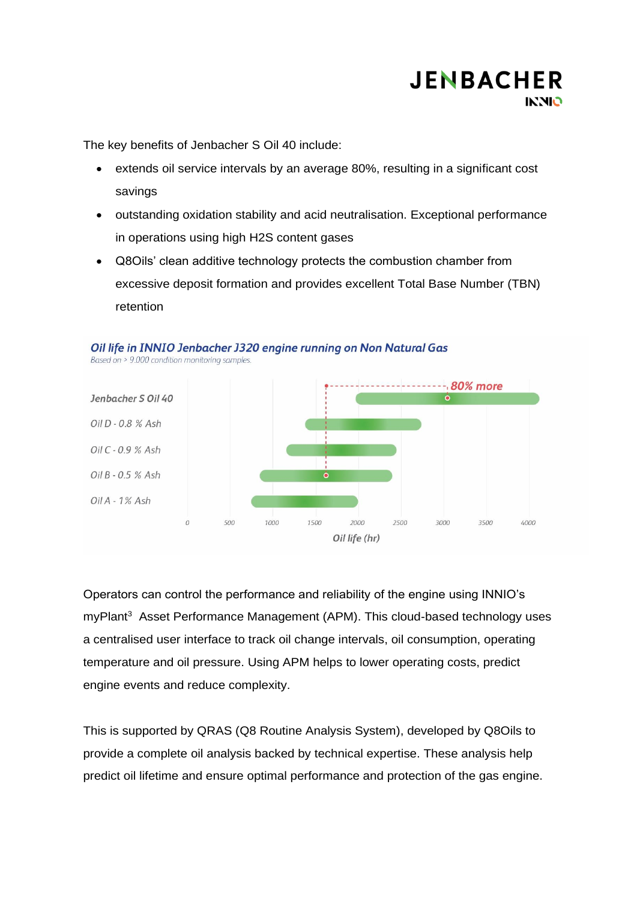

The key benefits of Jenbacher S Oil 40 include:

- extends oil service intervals by an average 80%, resulting in a significant cost savings
- outstanding oxidation stability and acid neutralisation. Exceptional performance in operations using high H2S content gases
- Q8Oils' clean additive technology protects the combustion chamber from excessive deposit formation and provides excellent Total Base Number (TBN) retention



Oil life in INNIO Jenbacher J320 engine running on Non Natural Gas

Operators can control the performance and reliability of the engine using INNIO's myPlant<sup>3</sup> Asset Performance Management (APM). This cloud-based technology uses a centralised user interface to track oil change intervals, oil consumption, operating temperature and oil pressure. Using APM helps to lower operating costs, predict engine events and reduce complexity.

This is supported by QRAS (Q8 Routine Analysis System), developed by Q8Oils to provide a complete oil analysis backed by technical expertise. These analysis help predict oil lifetime and ensure optimal performance and protection of the gas engine.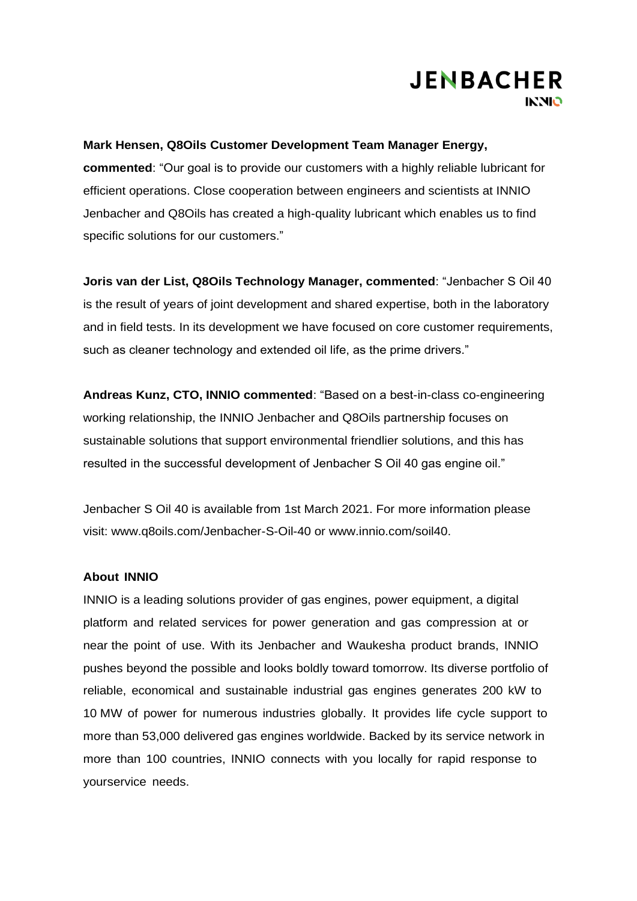#### **Mark Hensen, Q8Oils Customer Development Team Manager Energy,**

**commented**: "Our goal is to provide our customers with a highly reliable lubricant for efficient operations. Close cooperation between engineers and scientists at INNIO Jenbacher and Q8Oils has created a high-quality lubricant which enables us to find specific solutions for our customers."

**Joris van der List, Q8Oils Technology Manager, commented**: "Jenbacher S Oil 40 is the result of years of joint development and shared expertise, both in the laboratory and in field tests. In its development we have focused on core customer requirements, such as cleaner technology and extended oil life, as the prime drivers."

**Andreas Kunz, CTO, INNIO commented**: "Based on a best-in-class co-engineering working relationship, the INNIO Jenbacher and Q8Oils partnership focuses on sustainable solutions that support environmental friendlier solutions, and this has resulted in the successful development of Jenbacher S Oil 40 gas engine oil."

Jenbacher S Oil 40 is available from 1st March 2021. For more information please visit: www.q8oils.com/Jenbacher-S-Oil-40 or www.innio.com/soil40.

#### **About INNIO**

INNIO is a leading solutions provider of gas engines, power equipment, a digital platform and related services for power generation and gas compression at or near the point of use. With its Jenbacher and Waukesha product brands, INNIO pushes beyond the possible and looks boldly toward tomorrow. Its diverse portfolio of reliable, economical and sustainable industrial gas engines generates 200 kW to 10 MW of power for numerous industries globally. It provides life cycle support to more than 53,000 delivered gas engines worldwide. Backed by its service network in more than 100 countries, INNIO connects with you locally for rapid response to yourservice needs.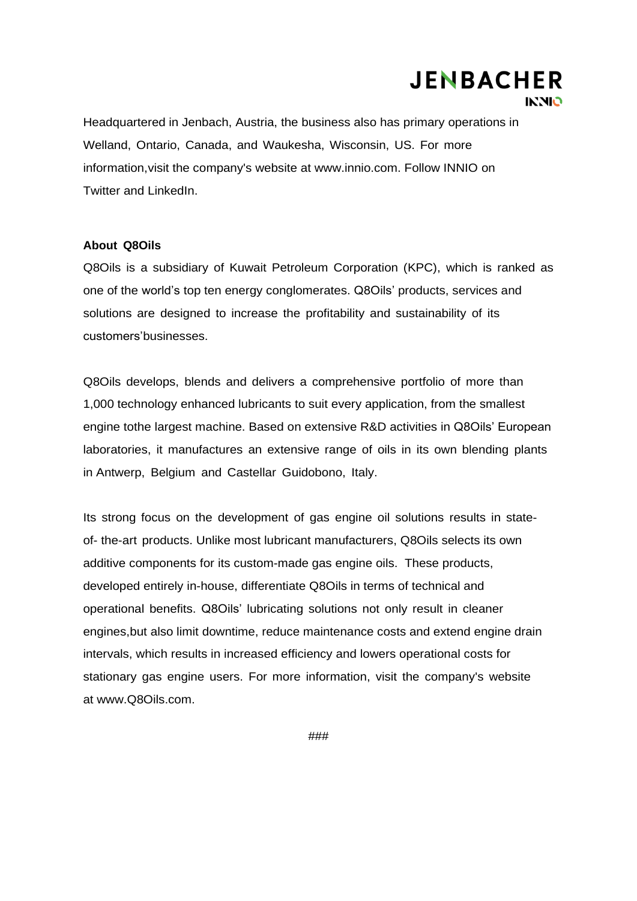Headquartered in Jenbach, Austria, the business also has primary operations in Welland, Ontario, Canada, and Waukesha, Wisconsin, US. For more information,visit the company's website at [www.innio.com.](http://www.innio.com/) Follow INNIO on Twitter and LinkedIn.

#### **About Q8Oils**

Q8Oils is a subsidiary of Kuwait Petroleum Corporation (KPC), which is ranked as one of the world's top ten energy conglomerates. Q8Oils' products, services and solutions are designed to increase the profitability and sustainability of its customers'businesses.

Q8Oils develops, blends and delivers a comprehensive portfolio of more than 1,000 technology enhanced lubricants to suit every application, from the smallest engine tothe largest machine. Based on extensive R&D activities in Q8Oils' European laboratories, it manufactures an extensive range of oils in its own blending plants in Antwerp, Belgium and Castellar Guidobono, Italy.

Its strong focus on the development of gas engine oil solutions results in stateof- the-art products. Unlike most lubricant manufacturers, Q8Oils selects its own additive components for its custom-made gas engine oils. These products, developed entirely in-house, differentiate Q8Oils in terms of technical and operational benefits. Q8Oils' lubricating solutions not only result in cleaner engines,but also limit downtime, reduce maintenance costs and extend engine drain intervals, which results in increased efficiency and lowers operational costs for stationary gas engine users. For more information, visit the company's website at [www.Q8Oils.com.](http://www.q8oils.com/)